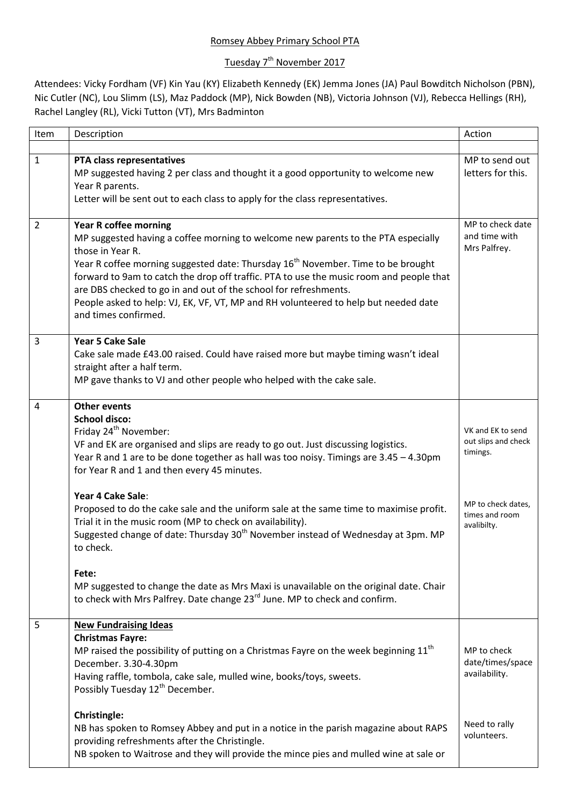## Romsey Abbey Primary School PTA

## <u>Tuesday 7<sup>th</sup> November 2017</u>

Attendees: Vicky Fordham (VF) Kin Yau (KY) Elizabeth Kennedy (EK) Jemma Jones (JA) Paul Bowditch Nicholson (PBN), Nic Cutler (NC), Lou Slimm (LS), Maz Paddock (MP), Nick Bowden (NB), Victoria Johnson (VJ), Rebecca Hellings (RH), Rachel Langley (RL), Vicki Tutton (VT), Mrs Badminton

| Item           | Description                                                                                                                                                                                                                                                                                                                                                                                                                                                                                                                                                                                            | Action                                                                                                      |
|----------------|--------------------------------------------------------------------------------------------------------------------------------------------------------------------------------------------------------------------------------------------------------------------------------------------------------------------------------------------------------------------------------------------------------------------------------------------------------------------------------------------------------------------------------------------------------------------------------------------------------|-------------------------------------------------------------------------------------------------------------|
|                |                                                                                                                                                                                                                                                                                                                                                                                                                                                                                                                                                                                                        |                                                                                                             |
| $\mathbf{1}$   | PTA class representatives<br>MP suggested having 2 per class and thought it a good opportunity to welcome new<br>Year R parents.<br>Letter will be sent out to each class to apply for the class representatives.                                                                                                                                                                                                                                                                                                                                                                                      | MP to send out<br>letters for this.                                                                         |
|                |                                                                                                                                                                                                                                                                                                                                                                                                                                                                                                                                                                                                        |                                                                                                             |
| $\overline{2}$ | <b>Year R coffee morning</b><br>MP suggested having a coffee morning to welcome new parents to the PTA especially<br>those in Year R.<br>Year R coffee morning suggested date: Thursday 16 <sup>th</sup> November. Time to be brought<br>forward to 9am to catch the drop off traffic. PTA to use the music room and people that<br>are DBS checked to go in and out of the school for refreshments.<br>People asked to help: VJ, EK, VF, VT, MP and RH volunteered to help but needed date<br>and times confirmed.                                                                                    | MP to check date<br>and time with<br>Mrs Palfrey.                                                           |
| 3              | <b>Year 5 Cake Sale</b><br>Cake sale made £43.00 raised. Could have raised more but maybe timing wasn't ideal<br>straight after a half term.<br>MP gave thanks to VJ and other people who helped with the cake sale.                                                                                                                                                                                                                                                                                                                                                                                   |                                                                                                             |
| 4              | <b>Other events</b><br><b>School disco:</b><br>Friday 24 <sup>th</sup> November:<br>VF and EK are organised and slips are ready to go out. Just discussing logistics.<br>Year R and 1 are to be done together as hall was too noisy. Timings are 3.45 - 4.30pm<br>for Year R and 1 and then every 45 minutes.<br>Year 4 Cake Sale:<br>Proposed to do the cake sale and the uniform sale at the same time to maximise profit.<br>Trial it in the music room (MP to check on availability).<br>Suggested change of date: Thursday 30 <sup>th</sup> November instead of Wednesday at 3pm. MP<br>to check. | VK and EK to send<br>out slips and check<br>timings.<br>MP to check dates.<br>times and room<br>avalibilty. |
|                | Fete:<br>MP suggested to change the date as Mrs Maxi is unavailable on the original date. Chair<br>to check with Mrs Palfrey. Date change 23 <sup>rd</sup> June. MP to check and confirm.                                                                                                                                                                                                                                                                                                                                                                                                              |                                                                                                             |
| 5              | <b>New Fundraising Ideas</b><br><b>Christmas Fayre:</b><br>MP raised the possibility of putting on a Christmas Fayre on the week beginning $11th$<br>December. 3.30-4.30pm<br>Having raffle, tombola, cake sale, mulled wine, books/toys, sweets.<br>Possibly Tuesday 12 <sup>th</sup> December.                                                                                                                                                                                                                                                                                                       | MP to check<br>date/times/space<br>availability.                                                            |
|                | <b>Christingle:</b><br>NB has spoken to Romsey Abbey and put in a notice in the parish magazine about RAPS<br>providing refreshments after the Christingle.<br>NB spoken to Waitrose and they will provide the mince pies and mulled wine at sale or                                                                                                                                                                                                                                                                                                                                                   | Need to rally<br>volunteers.                                                                                |